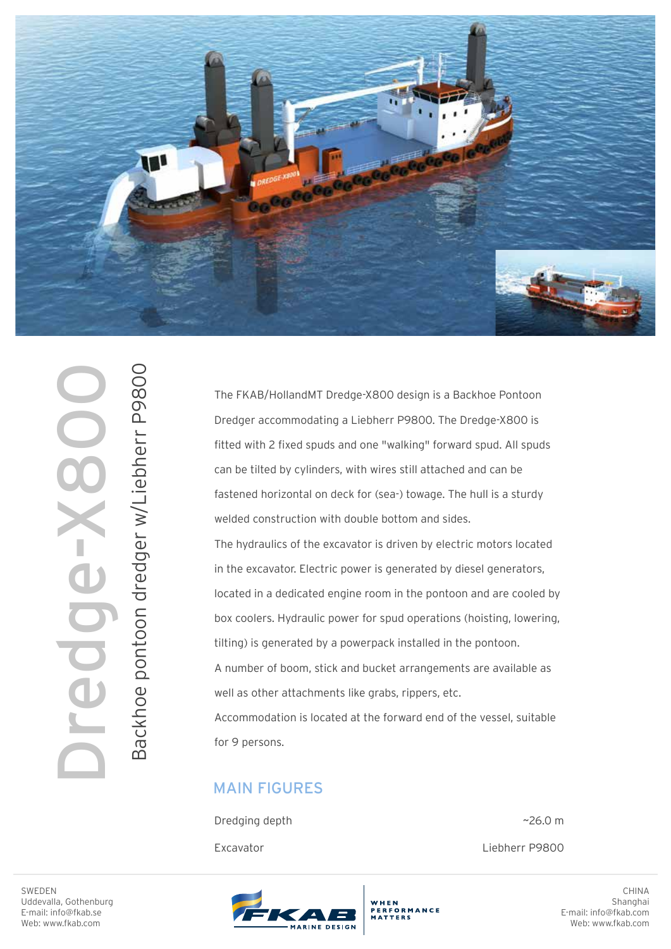

Backhoe pontoon dredger w/Liebherr P9800 Backhoe pontoon dredger w/Liebherr P9800 Dredge-X800

The FKAB/HollandMT Dredge-X800 design is a Backhoe Pontoon Dredger accommodating a Liebherr P9800. The Dredge-X800 is fitted with 2 fixed spuds and one "walking" forward spud. All spuds can be tilted by cylinders, with wires still attached and can be fastened horizontal on deck for (sea-) towage. The hull is a sturdy welded construction with double bottom and sides. The hydraulics of the excavator is driven by electric motors located in the excavator. Electric power is generated by diesel generators, located in a dedicated engine room in the pontoon and are cooled by box coolers. Hydraulic power for spud operations (hoisting, lowering, tilting) is generated by a powerpack installed in the pontoon. A number of boom, stick and bucket arrangements are available as well as other attachments like grabs, rippers, etc. Accommodation is located at the forward end of the vessel, suitable for 9 persons.

## MAIN FIGURES

| Dredging depth | ~26.0~m        |
|----------------|----------------|
| Excavator      | Liebherr P9800 |

WHEN

ERFORMANCE